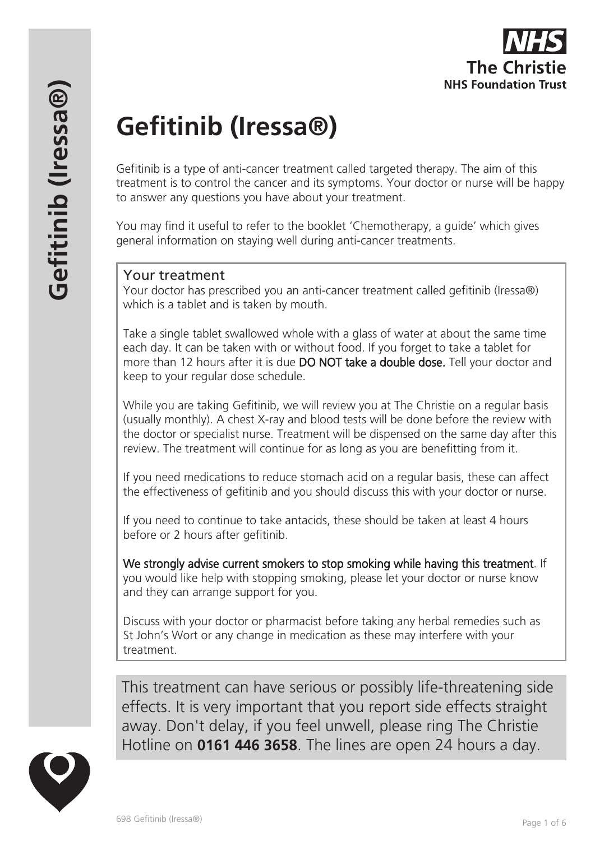# **Gefitinib (Iressa®)**

Gefitinib is a type of anti-cancer treatment called targeted therapy. The aim of this treatment is to control the cancer and its symptoms. Your doctor or nurse will be happy to answer any questions you have about your treatment.

You may find it useful to refer to the booklet 'Chemotherapy, a guide' which gives general information on staying well during anti-cancer treatments.

# Your treatment

Your doctor has prescribed you an anti-cancer treatment called gefitinib (Iressa®) which is a tablet and is taken by mouth.

Take a single tablet swallowed whole with a glass of water at about the same time each day. It can be taken with or without food. If you forget to take a tablet for more than 12 hours after it is due **DO NOT take a double dose.** Tell your doctor and keep to your regular dose schedule.

While you are taking Gefitinib, we will review you at The Christie on a regular basis (usually monthly). A chest X-ray and blood tests will be done before the review with the doctor or specialist nurse. Treatment will be dispensed on the same day after this review. The treatment will continue for as long as you are benefitting from it.

If you need medications to reduce stomach acid on a regular basis, these can affect the effectiveness of gefitinib and you should discuss this with your doctor or nurse.

If you need to continue to take antacids, these should be taken at least 4 hours before or 2 hours after gefitinib.

We strongly advise current smokers to stop smoking while having this treatment. If you would like help with stopping smoking, please let your doctor or nurse know and they can arrange support for you.

Discuss with your doctor or pharmacist before taking any herbal remedies such as St John's Wort or any change in medication as these may interfere with your treatment.

This treatment can have serious or possibly life-threatening side effects. It is very important that you report side effects straight away. Don't delay, if you feel unwell, please ring The Christie Hotline on **0161 446 3658**. The lines are open 24 hours a day.

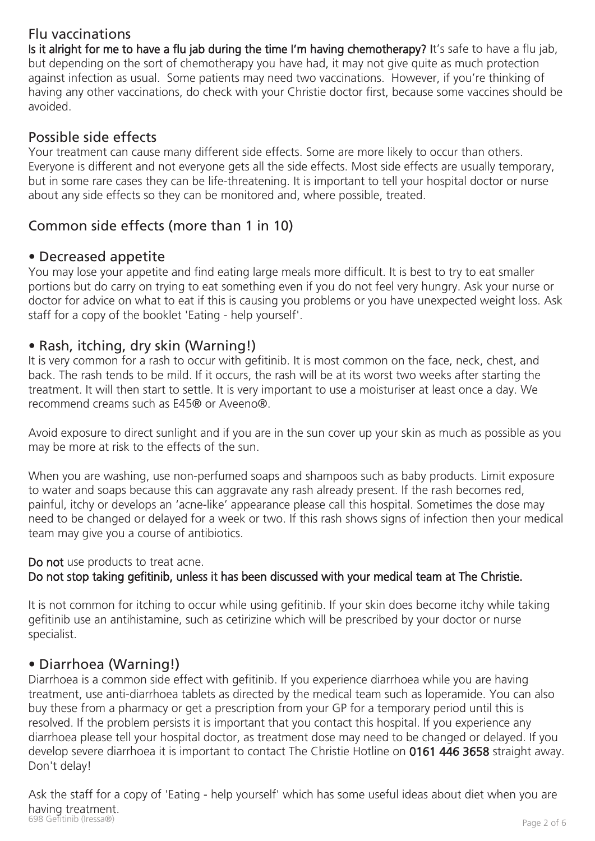# Flu vaccinations

Is it alright for me to have a flu jab during the time I'm having chemotherapy? It's safe to have a flu jab, but depending on the sort of chemotherapy you have had, it may not give quite as much protection against infection as usual. Some patients may need two vaccinations. However, if you're thinking of having any other vaccinations, do check with your Christie doctor first, because some vaccines should be avoided.

# Possible side effects

Your treatment can cause many different side effects. Some are more likely to occur than others. Everyone is different and not everyone gets all the side effects. Most side effects are usually temporary, but in some rare cases they can be life-threatening. It is important to tell your hospital doctor or nurse about any side effects so they can be monitored and, where possible, treated.

# Common side effects (more than 1 in 10)

## • Decreased appetite

You may lose your appetite and find eating large meals more difficult. It is best to try to eat smaller portions but do carry on trying to eat something even if you do not feel very hungry. Ask your nurse or doctor for advice on what to eat if this is causing you problems or you have unexpected weight loss. Ask staff for a copy of the booklet 'Eating - help yourself'.

# • Rash, itching, dry skin (Warning!)

It is very common for a rash to occur with gefitinib. It is most common on the face, neck, chest, and back. The rash tends to be mild. If it occurs, the rash will be at its worst two weeks after starting the treatment. It will then start to settle. It is very important to use a moisturiser at least once a day. We recommend creams such as E45® or Aveeno®.

Avoid exposure to direct sunlight and if you are in the sun cover up your skin as much as possible as you may be more at risk to the effects of the sun.

When you are washing, use non-perfumed soaps and shampoos such as baby products. Limit exposure to water and soaps because this can aggravate any rash already present. If the rash becomes red, painful, itchy or develops an 'acne-like' appearance please call this hospital. Sometimes the dose may need to be changed or delayed for a week or two. If this rash shows signs of infection then your medical team may give you a course of antibiotics.

## Do not use products to treat acne.

## Do not stop taking gefitinib, unless it has been discussed with your medical team at The Christie.

It is not common for itching to occur while using gefitinib. If your skin does become itchy while taking gefitinib use an antihistamine, such as cetirizine which will be prescribed by your doctor or nurse specialist.

# • Diarrhoea (Warning!)

Diarrhoea is a common side effect with gefitinib. If you experience diarrhoea while you are having treatment, use anti-diarrhoea tablets as directed by the medical team such as loperamide. You can also buy these from a pharmacy or get a prescription from your GP for a temporary period until this is resolved. If the problem persists it is important that you contact this hospital. If you experience any diarrhoea please tell your hospital doctor, as treatment dose may need to be changed or delayed. If you develop severe diarrhoea it is important to contact The Christie Hotline on 0161 446 3658 straight away. Don't delay!

example (Iressa®)<br>698 Gefitinib (Iressa®) Page 2 of 6 Ask the staff for a copy of 'Eating - help yourself' which has some useful ideas about diet when you are having treatment.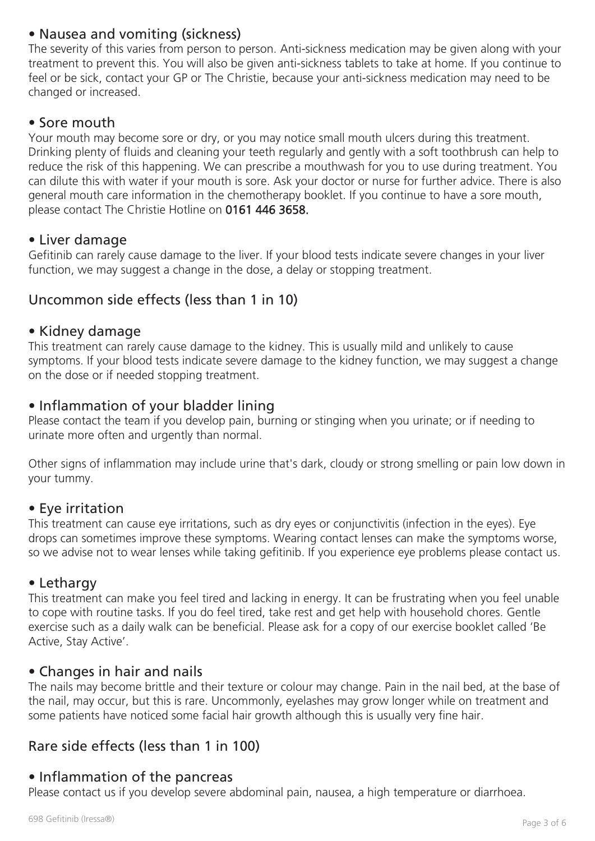# • Nausea and vomiting (sickness)

The severity of this varies from person to person. Anti-sickness medication may be given along with your treatment to prevent this. You will also be given anti-sickness tablets to take at home. If you continue to feel or be sick, contact your GP or The Christie, because your anti-sickness medication may need to be changed or increased.

## • Sore mouth

Your mouth may become sore or dry, or you may notice small mouth ulcers during this treatment. Drinking plenty of fluids and cleaning your teeth regularly and gently with a soft toothbrush can help to reduce the risk of this happening. We can prescribe a mouthwash for you to use during treatment. You can dilute this with water if your mouth is sore. Ask your doctor or nurse for further advice. There is also general mouth care information in the chemotherapy booklet. If you continue to have a sore mouth, please contact The Christie Hotline on 0161 446 3658.

## • Liver damage

Gefitinib can rarely cause damage to the liver. If your blood tests indicate severe changes in your liver function, we may suggest a change in the dose, a delay or stopping treatment.

## Uncommon side effects (less than 1 in 10)

#### • Kidney damage

This treatment can rarely cause damage to the kidney. This is usually mild and unlikely to cause symptoms. If your blood tests indicate severe damage to the kidney function, we may suggest a change on the dose or if needed stopping treatment.

## • Inflammation of your bladder lining

Please contact the team if you develop pain, burning or stinging when you urinate; or if needing to urinate more often and urgently than normal.

Other signs of inflammation may include urine that's dark, cloudy or strong smelling or pain low down in your tummy.

## • Eye irritation

This treatment can cause eye irritations, such as dry eyes or conjunctivitis (infection in the eyes). Eye drops can sometimes improve these symptoms. Wearing contact lenses can make the symptoms worse, so we advise not to wear lenses while taking gefitinib. If you experience eye problems please contact us.

#### • Lethargy

This treatment can make you feel tired and lacking in energy. It can be frustrating when you feel unable to cope with routine tasks. If you do feel tired, take rest and get help with household chores. Gentle exercise such as a daily walk can be beneficial. Please ask for a copy of our exercise booklet called 'Be Active, Stay Active'.

## • Changes in hair and nails

The nails may become brittle and their texture or colour may change. Pain in the nail bed, at the base of the nail, may occur, but this is rare. Uncommonly, eyelashes may grow longer while on treatment and some patients have noticed some facial hair growth although this is usually very fine hair.

# Rare side effects (less than 1 in 100)

## • Inflammation of the pancreas

Please contact us if you develop severe abdominal pain, nausea, a high temperature or diarrhoea.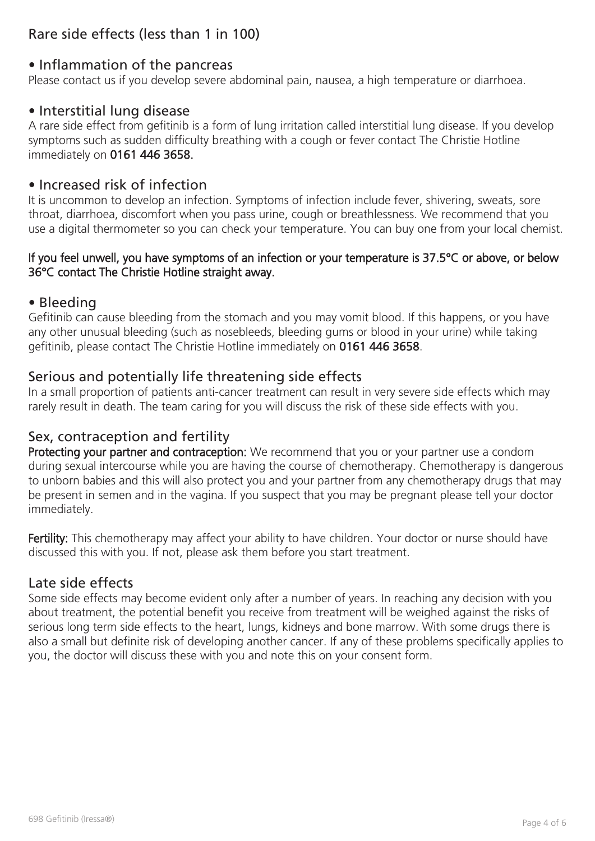# Rare side effects (less than 1 in 100)

# • Inflammation of the pancreas

Please contact us if you develop severe abdominal pain, nausea, a high temperature or diarrhoea.

# • Interstitial lung disease

A rare side effect from gefitinib is a form of lung irritation called interstitial lung disease. If you develop symptoms such as sudden difficulty breathing with a cough or fever contact The Christie Hotline immediately on 0161 446 3658.

# • Increased risk of infection

It is uncommon to develop an infection. Symptoms of infection include fever, shivering, sweats, sore throat, diarrhoea, discomfort when you pass urine, cough or breathlessness. We recommend that you use a digital thermometer so you can check your temperature. You can buy one from your local chemist.

### If you feel unwell, you have symptoms of an infection or your temperature is 37.5°C or above, or below 36°C contact The Christie Hotline straight away.

#### • Bleeding

Gefitinib can cause bleeding from the stomach and you may vomit blood. If this happens, or you have any other unusual bleeding (such as nosebleeds, bleeding gums or blood in your urine) while taking gefitinib, please contact The Christie Hotline immediately on 0161 446 3658.

## Serious and potentially life threatening side effects

In a small proportion of patients anti-cancer treatment can result in very severe side effects which may rarely result in death. The team caring for you will discuss the risk of these side effects with you.

## Sex, contraception and fertility

Protecting your partner and contraception: We recommend that you or your partner use a condom during sexual intercourse while you are having the course of chemotherapy. Chemotherapy is dangerous to unborn babies and this will also protect you and your partner from any chemotherapy drugs that may be present in semen and in the vagina. If you suspect that you may be pregnant please tell your doctor immediately.

Fertility: This chemotherapy may affect your ability to have children. Your doctor or nurse should have discussed this with you. If not, please ask them before you start treatment.

## Late side effects

Some side effects may become evident only after a number of years. In reaching any decision with you about treatment, the potential benefit you receive from treatment will be weighed against the risks of serious long term side effects to the heart, lungs, kidneys and bone marrow. With some drugs there is also a small but definite risk of developing another cancer. If any of these problems specifically applies to you, the doctor will discuss these with you and note this on your consent form.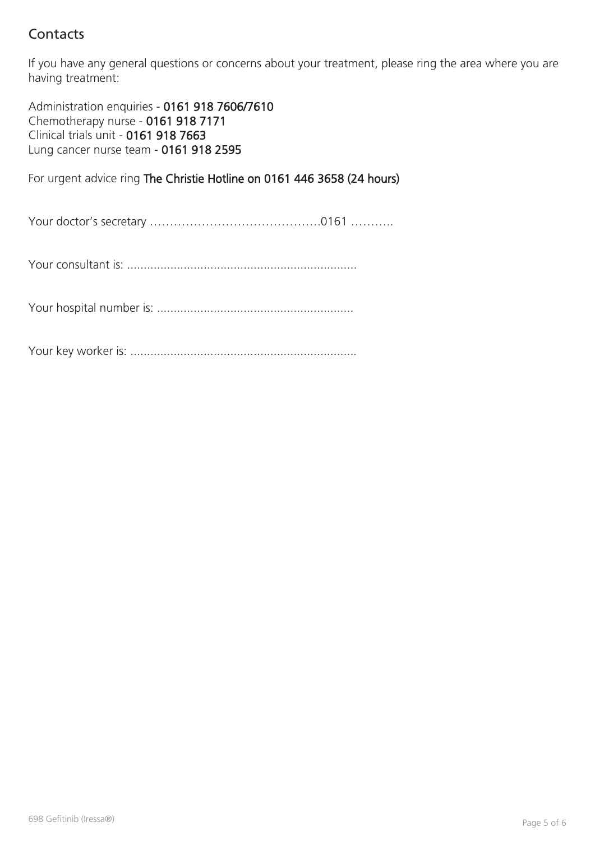# **Contacts**

If you have any general questions or concerns about your treatment, please ring the area where you are having treatment:

Administration enquiries - 0161 918 7606/7610 Chemotherapy nurse - 0161 918 7171 Clinical trials unit - 0161 918 7663 Lung cancer nurse team - 0161 918 2595

For urgent advice ring The Christie Hotline on 0161 446 3658 (24 hours)

Your doctor's secretary …………………………………….0161 ………..

Your consultant is: .....................................................................

Your hospital number is: ...........................................................

Your key worker is: ....................................................................